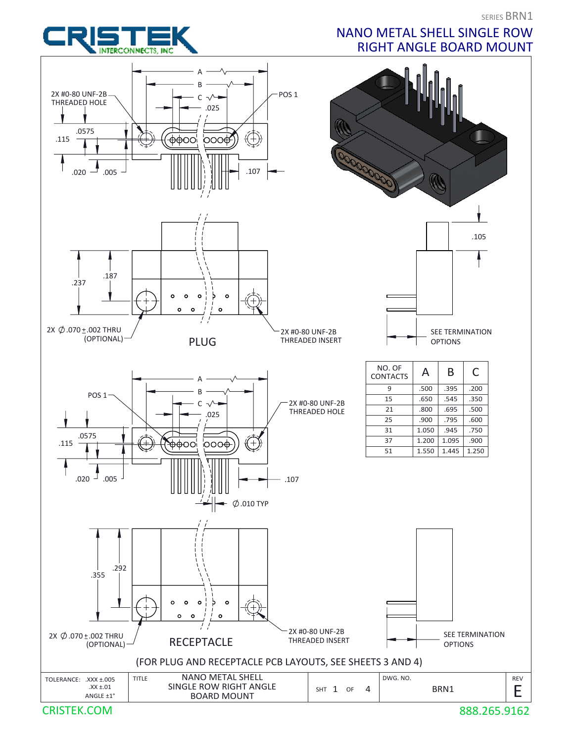

#### NANO METAL SHELL SINGLE ROW RIGHT ANGLE BOARD MOUNT



888.265.9162

REV

E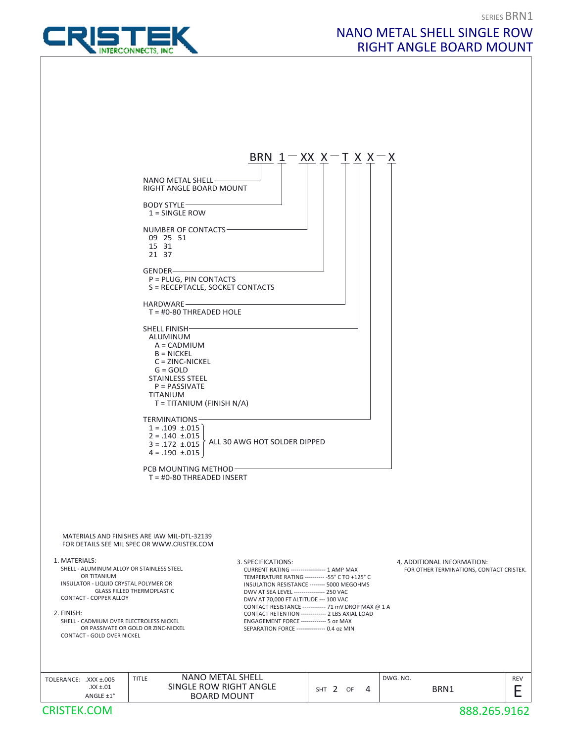

## NANO METAL SHELL SINGLE ROW RIGHT ANGLE BOARD MOUNT

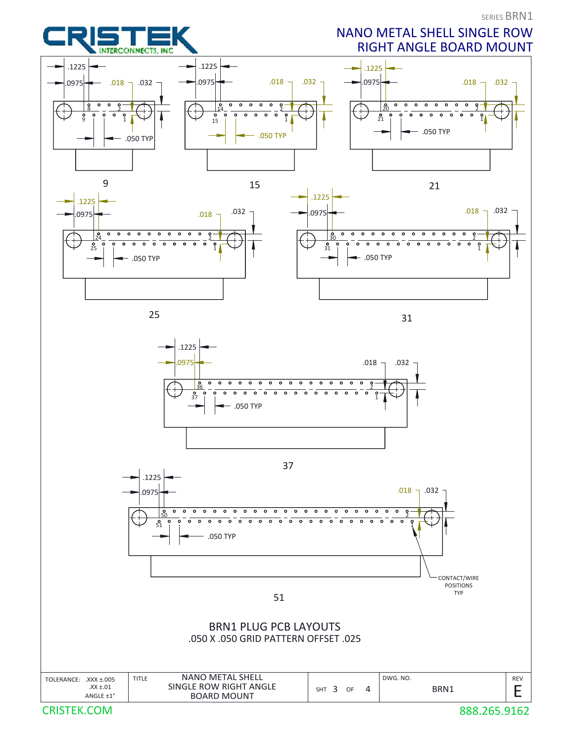# INTERCONNECTS, INC.

## NANO METAL SHELL SINGLE ROW RIGHT ANGLE BOARD MOUNT





31



37



51

#### BRN1 PLUG PCB LAYOUTS .050 X .050 GRID PATTERN OFFSET .025

| TOLERANCE: .XXX ±.005<br>SINGLE ROW RIGHT ANGLE<br>$XX \pm .01$<br>BRN1<br><b>SHT</b><br>OF<br><b>BOARD MOUNT</b><br>ANGLE $\pm 1^{\circ}$ |            |
|--------------------------------------------------------------------------------------------------------------------------------------------|------------|
|                                                                                                                                            |            |
|                                                                                                                                            |            |
| <b>NANO METAL SHELL</b><br>DWG. NO.<br><b>TITLE</b>                                                                                        | <b>REV</b> |

CRISTEK.COM